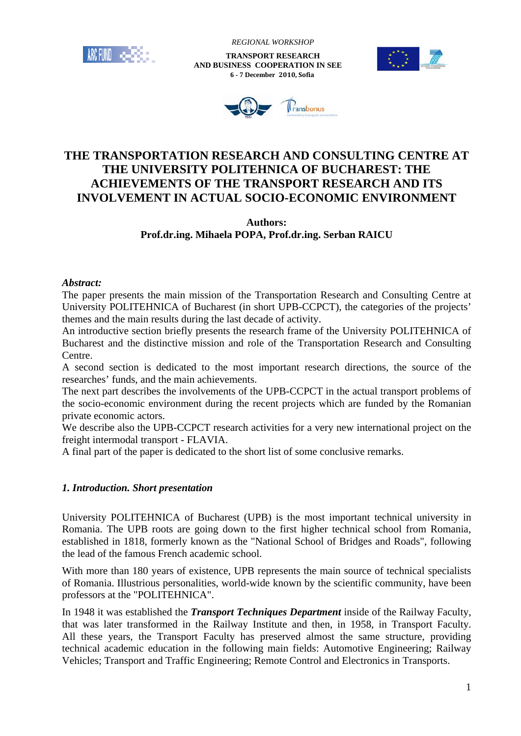

 *REGIONAL WORKSHOP*

 **TRANSPORT RESEARCH AND BUSINESS COOPERATION IN SEE 6 - 7 December 2010, Sofia**





# **THE TRANSPORTATION RESEARCH AND CONSULTING CENTRE AT THE UNIVERSITY POLITEHNICA OF BUCHAREST: THE ACHIEVEMENTS OF THE TRANSPORT RESEARCH AND ITS INVOLVEMENT IN ACTUAL SOCIO-ECONOMIC ENVIRONMENT**

### **Authors: Prof.dr.ing. Mihaela POPA, Prof.dr.ing. Serban RAICU**

#### *Abstract:*

The paper presents the main mission of the Transportation Research and Consulting Centre at University POLITEHNICA of Bucharest (in short UPB-CCPCT), the categories of the projects' themes and the main results during the last decade of activity.

An introductive section briefly presents the research frame of the University POLITEHNICA of Bucharest and the distinctive mission and role of the Transportation Research and Consulting Centre.

A second section is dedicated to the most important research directions, the source of the researches' funds, and the main achievements.

The next part describes the involvements of the UPB-CCPCT in the actual transport problems of the socio-economic environment during the recent projects which are funded by the Romanian private economic actors.

We describe also the UPB-CCPCT research activities for a very new international project on the freight intermodal transport - FLAVIA.

A final part of the paper is dedicated to the short list of some conclusive remarks.

#### *1. Introduction. Short presentation*

University POLITEHNICA of Bucharest (UPB) is the most important technical university in Romania. The UPB roots are going down to the first higher technical school from Romania, established in 1818, formerly known as the "National School of Bridges and Roads", following the lead of the famous French academic school.

With more than 180 years of existence, UPB represents the main source of technical specialists of Romania. Illustrious personalities, world-wide known by the scientific community, have been professors at the "POLITEHNICA".

In 1948 it was established the *Transport Techniques Department* inside of the Railway Faculty, that was later transformed in the Railway Institute and then, in 1958, in Transport Faculty. All these years, the Transport Faculty has preserved almost the same structure, providing technical academic education in the following main fields: Automotive Engineering; Railway Vehicles; Transport and Traffic Engineering; Remote Control and Electronics in Transports.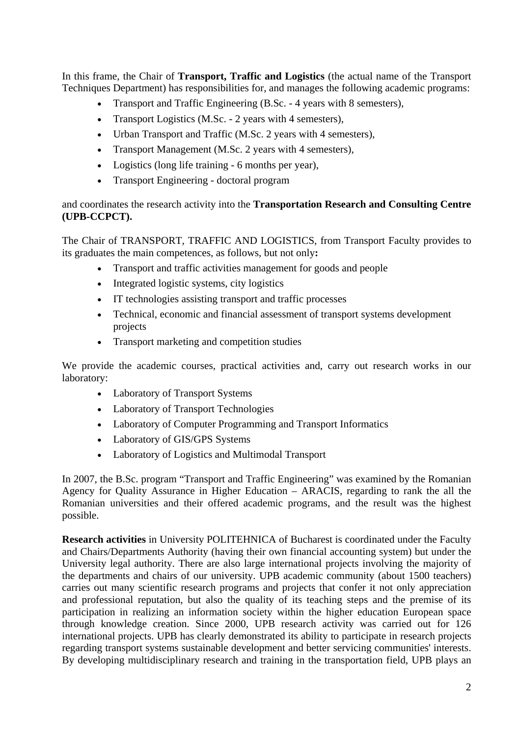In this frame, the Chair of **Transport, Traffic and Logistics** (the actual name of the Transport Techniques Department) has responsibilities for, and manages the following academic programs:

- Transport and Traffic Engineering (B.Sc. 4 years with 8 semesters),
- Transport Logistics (M.Sc. 2 years with 4 semesters),
- Urban Transport and Traffic (M.Sc. 2 years with 4 semesters),
- Transport Management (M.Sc. 2 years with 4 semesters),
- Logistics (long life training 6 months per year),
- Transport Engineering doctoral program

# and coordinates the research activity into the **Transportation Research and Consulting Centre (UPB-CCPCT).**

The Chair of TRANSPORT, TRAFFIC AND LOGISTICS, from Transport Faculty provides to its graduates the main competences, as follows, but not only**:**

- Transport and traffic activities management for goods and people
- Integrated logistic systems, city logistics
- IT technologies assisting transport and traffic processes
- Technical, economic and financial assessment of transport systems development projects
- Transport marketing and competition studies

We provide the academic courses, practical activities and, carry out research works in our laboratory:

- Laboratory of Transport Systems
- Laboratory of Transport Technologies
- Laboratory of Computer Programming and Transport Informatics
- Laboratory of GIS/GPS Systems
- Laboratory of Logistics and Multimodal Transport

In 2007, the B.Sc. program "Transport and Traffic Engineering" was examined by the Romanian Agency for Quality Assurance in Higher Education – ARACIS, regarding to rank the all the Romanian universities and their offered academic programs, and the result was the highest possible.

**Research activities** in University POLITEHNICA of Bucharest is coordinated under the Faculty and Chairs/Departments Authority (having their own financial accounting system) but under the University legal authority. There are also large international projects involving the majority of the departments and chairs of our university. UPB academic community (about 1500 teachers) carries out many scientific research programs and projects that confer it not only appreciation and professional reputation, but also the quality of its teaching steps and the premise of its participation in realizing an information society within the higher education European space through knowledge creation. Since 2000, UPB research activity was carried out for 126 international projects. UPB has clearly demonstrated its ability to participate in research projects regarding transport systems sustainable development and better servicing communities' interests. By developing multidisciplinary research and training in the transportation field, UPB plays an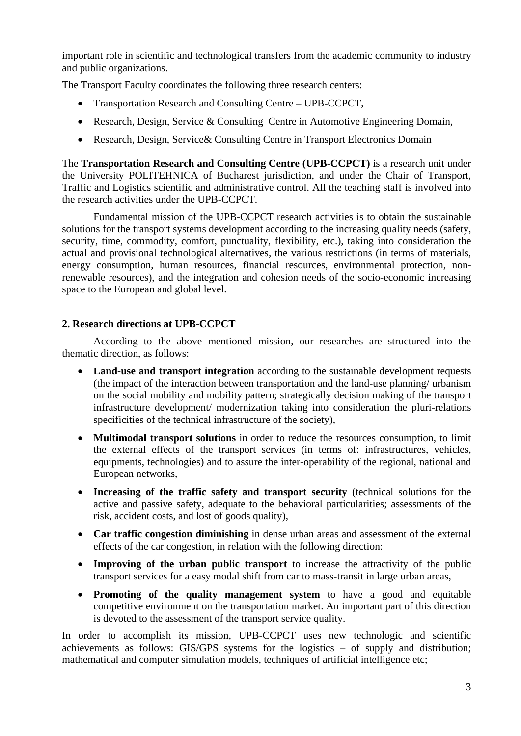important role in scientific and technological transfers from the academic community to industry and public organizations.

The Transport Faculty coordinates the following three research centers:

- Transportation Research and Consulting Centre UPB-CCPCT,
- Research, Design, Service & Consulting Centre in Automotive Engineering Domain,
- Research, Design, Service & Consulting Centre in Transport Electronics Domain

The **Transportation Research and Consulting Centre (UPB-CCPCT)** is a research unit under the University POLITEHNICA of Bucharest jurisdiction, and under the Chair of Transport, Traffic and Logistics scientific and administrative control. All the teaching staff is involved into the research activities under the UPB-CCPCT.

Fundamental mission of the UPB-CCPCT research activities is to obtain the sustainable solutions for the transport systems development according to the increasing quality needs (safety, security, time, commodity, comfort, punctuality, flexibility, etc.), taking into consideration the actual and provisional technological alternatives, the various restrictions (in terms of materials, energy consumption, human resources, financial resources, environmental protection, nonrenewable resources), and the integration and cohesion needs of the socio-economic increasing space to the European and global level.

# **2. Research directions at UPB-CCPCT**

According to the above mentioned mission, our researches are structured into the thematic direction, as follows:

- **Land-use and transport integration** according to the sustainable development requests (the impact of the interaction between transportation and the land-use planning/ urbanism on the social mobility and mobility pattern; strategically decision making of the transport infrastructure development/ modernization taking into consideration the pluri-relations specificities of the technical infrastructure of the society),
- **Multimodal transport solutions** in order to reduce the resources consumption, to limit the external effects of the transport services (in terms of: infrastructures, vehicles, equipments, technologies) and to assure the inter-operability of the regional, national and European networks,
- **Increasing of the traffic safety and transport security** (technical solutions for the active and passive safety, adequate to the behavioral particularities; assessments of the risk, accident costs, and lost of goods quality),
- **Car traffic congestion diminishing** in dense urban areas and assessment of the external effects of the car congestion, in relation with the following direction:
- **Improving of the urban public transport** to increase the attractivity of the public transport services for a easy modal shift from car to mass-transit in large urban areas,
- **Promoting of the quality management system** to have a good and equitable competitive environment on the transportation market. An important part of this direction is devoted to the assessment of the transport service quality.

In order to accomplish its mission, UPB-CCPCT uses new technologic and scientific achievements as follows: GIS/GPS systems for the logistics – of supply and distribution; mathematical and computer simulation models, techniques of artificial intelligence etc;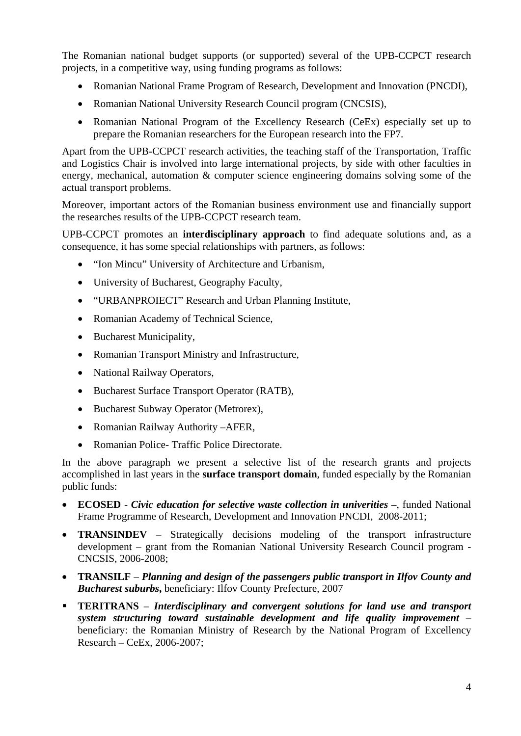The Romanian national budget supports (or supported) several of the UPB-CCPCT research projects, in a competitive way, using funding programs as follows:

- Romanian National Frame Program of Research, Development and Innovation (PNCDI),
- Romanian National University Research Council program (CNCSIS),
- Romanian National Program of the Excellency Research (CeEx) especially set up to prepare the Romanian researchers for the European research into the FP7.

Apart from the UPB-CCPCT research activities, the teaching staff of the Transportation, Traffic and Logistics Chair is involved into large international projects, by side with other faculties in energy, mechanical, automation & computer science engineering domains solving some of the actual transport problems.

Moreover, important actors of the Romanian business environment use and financially support the researches results of the UPB-CCPCT research team.

UPB-CCPCT promotes an **interdisciplinary approach** to find adequate solutions and, as a consequence, it has some special relationships with partners, as follows:

- "Ion Mincu" University of Architecture and Urbanism,
- University of Bucharest, Geography Faculty,
- "URBANPROIECT" Research and Urban Planning Institute,
- Romanian Academy of Technical Science,
- Bucharest Municipality,
- Romanian Transport Ministry and Infrastructure,
- National Railway Operators,
- Bucharest Surface Transport Operator (RATB),
- Bucharest Subway Operator (Metrorex),
- Romanian Railway Authority –AFER,
- Romanian Police- Traffic Police Directorate.

In the above paragraph we present a selective list of the research grants and projects accomplished in last years in the **surface transport domain**, funded especially by the Romanian public funds:

- **ECOSED** *Civic education for selective waste collection in univerities* **–**, funded National Frame Programme of Research, Development and Innovation PNCDI, 2008-2011;
- **TRANSINDEV**  Strategically decisions modeling of the transport infrastructure development – grant from the Romanian National University Research Council program - CNCSIS, 2006-2008;
- **TRANSILF**  *Planning and design of the passengers public transport in Ilfov County and Bucharest suburbs***,** beneficiary: Ilfov County Prefecture, 2007
- **TERITRANS** *Interdisciplinary and convergent solutions for land use and transport system structuring toward sustainable development and life quality improvement* – beneficiary: the Romanian Ministry of Research by the National Program of Excellency Research – CeEx, 2006-2007;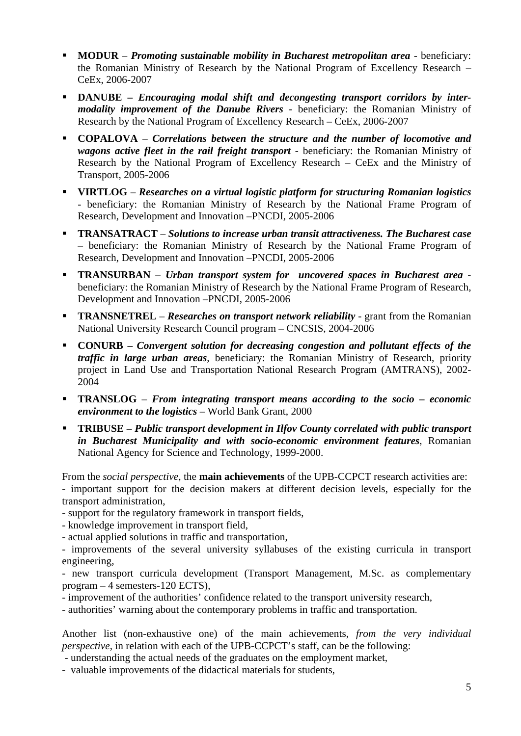- **MODUR** *Promoting sustainable mobility in Bucharest metropolitan area* beneficiary: the Romanian Ministry of Research by the National Program of Excellency Research – CeEx, 2006-2007
- **•** DANUBE *Encouraging modal shift and decongesting transport corridors by intermodality improvement of the Danube Rivers* - beneficiary: the Romanian Ministry of Research by the National Program of Excellency Research – CeEx, 2006-2007
- **COPALOVA**  *Correlations between the structure and the number of locomotive and wagons active fleet in the rail freight transport* - beneficiary: the Romanian Ministry of Research by the National Program of Excellency Research – CeEx and the Ministry of Transport, 2005-2006
- **VIRTLOG**  *Researches on a virtual logistic platform for structuring Romanian logistics* - beneficiary: the Romanian Ministry of Research by the National Frame Program of Research, Development and Innovation –PNCDI, 2005-2006
- **TRANSATRACT**  *Solutions to increase urban transit attractiveness. The Bucharest case* – beneficiary: the Romanian Ministry of Research by the National Frame Program of Research, Development and Innovation –PNCDI, 2005-2006
- **TRANSURBAN**  *Urban transport system for uncovered spaces in Bucharest area* beneficiary: the Romanian Ministry of Research by the National Frame Program of Research, Development and Innovation –PNCDI, 2005-2006
- **TRANSNETREL** *Researches on transport network reliability* grant from the Romanian National University Research Council program – CNCSIS, 2004-2006
- **CONURB** *Convergent solution for decreasing congestion and pollutant effects of the traffic in large urban areas*, beneficiary: the Romanian Ministry of Research, priority project in Land Use and Transportation National Research Program (AMTRANS), 2002- 2004
- **TRANSLOG**  *From integrating transport means according to the socio economic environment to the logistics* – World Bank Grant, 2000
- **TRIBUSE** *Public transport development in Ilfov County correlated with public transport in Bucharest Municipality and with socio-economic environment features*, Romanian National Agency for Science and Technology, 1999-2000.

From the *social perspective*, the **main achievements** of the UPB-CCPCT research activities are: - important support for the decision makers at different decision levels, especially for the transport administration,

- support for the regulatory framework in transport fields,
- knowledge improvement in transport field,
- actual applied solutions in traffic and transportation,

- improvements of the several university syllabuses of the existing curricula in transport engineering,

- new transport curricula development (Transport Management, M.Sc. as complementary program – 4 semesters-120 ECTS),

- improvement of the authorities' confidence related to the transport university research,
- authorities' warning about the contemporary problems in traffic and transportation.

Another list (non-exhaustive one) of the main achievements, *from the very individual perspective*, in relation with each of the UPB-CCPCT's staff, can be the following:

- understanding the actual needs of the graduates on the employment market,
- valuable improvements of the didactical materials for students,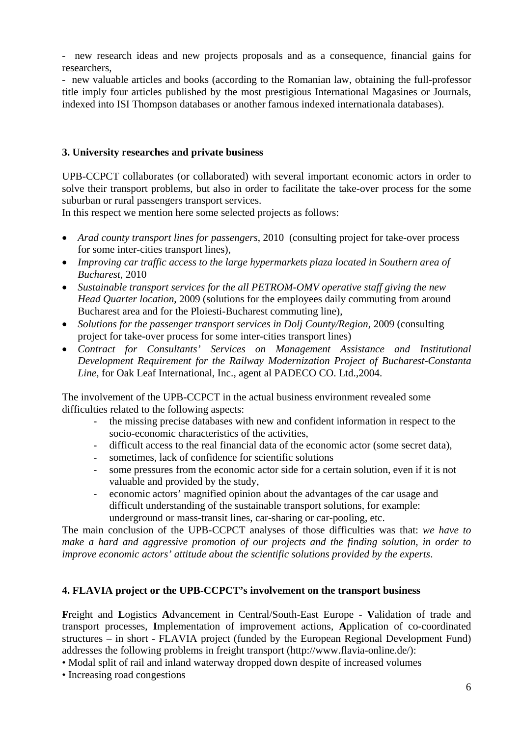- new research ideas and new projects proposals and as a consequence, financial gains for researchers,

- new valuable articles and books (according to the Romanian law, obtaining the full-professor title imply four articles published by the most prestigious International Magasines or Journals, indexed into ISI Thompson databases or another famous indexed internationala databases).

#### **3. University researches and private business**

UPB-CCPCT collaborates (or collaborated) with several important economic actors in order to solve their transport problems, but also in order to facilitate the take-over process for the some suburban or rural passengers transport services.

In this respect we mention here some selected projects as follows:

- *Arad county transport lines for passengers*, 2010 (consulting project for take-over process for some inter-cities transport lines),
- *Improving car traffic access to the large hypermarkets plaza located in Southern area of Bucharest*, 2010
- *Sustainable transport services for the all PETROM-OMV operative staff giving the new Head Quarter location*, 2009 (solutions for the employees daily commuting from around Bucharest area and for the Ploiesti-Bucharest commuting line),
- *Solutions for the passenger transport services in Dolj County/Region*, 2009 (consulting project for take-over process for some inter-cities transport lines)
- *Contract for Consultants' Services on Management Assistance and Institutional Development Requirement for the Railway Modernization Project of Bucharest-Constanta Line,* for Oak Leaf International, Inc., agent al PADECO CO. Ltd.,2004.

The involvement of the UPB-CCPCT in the actual business environment revealed some difficulties related to the following aspects:

- the missing precise databases with new and confident information in respect to the socio-economic characteristics of the activities,
- difficult access to the real financial data of the economic actor (some secret data),
- sometimes, lack of confidence for scientific solutions
- some pressures from the economic actor side for a certain solution, even if it is not valuable and provided by the study,
- economic actors' magnified opinion about the advantages of the car usage and difficult understanding of the sustainable transport solutions, for example: underground or mass-transit lines, car-sharing or car-pooling, etc.

The main conclusion of the UPB-CCPCT analyses of those difficulties was that: *we have to make a hard and aggressive promotion of our projects and the finding solution, in order to improve economic actors' attitude about the scientific solutions provided by the experts*.

### **4. FLAVIA project or the UPB-CCPCT's involvement on the transport business**

**F**reight and **L**ogistics **A**dvancement in Central/South-East Europe - **V**alidation of trade and transport processes, **I**mplementation of improvement actions, **A**pplication of co-coordinated structures – in short - FLAVIA project (funded by the European Regional Development Fund) addresses the following problems in freight transport (http://www.flavia-online.de/):

• Modal split of rail and inland waterway dropped down despite of increased volumes

• Increasing road congestions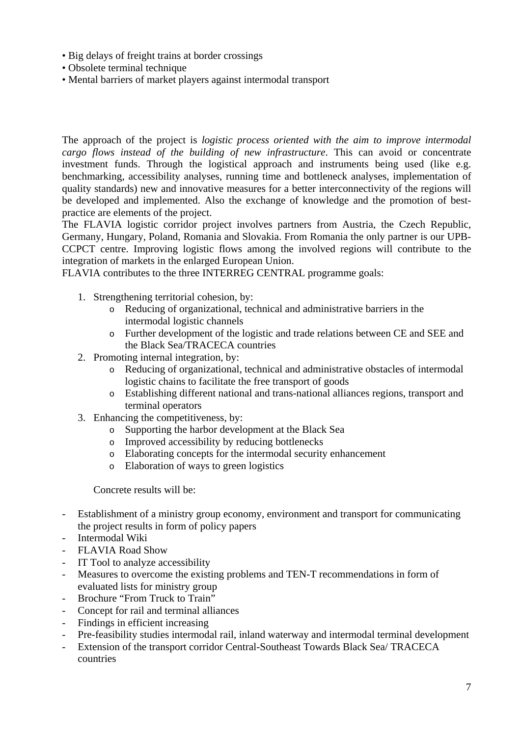- Big delays of freight trains at border crossings
- Obsolete terminal technique
- Mental barriers of market players against intermodal transport

The approach of the project is *logistic process oriented with the aim to improve intermodal cargo flows instead of the building of new infrastructure*. This can avoid or concentrate investment funds. Through the logistical approach and instruments being used (like e.g. benchmarking, accessibility analyses, running time and bottleneck analyses, implementation of quality standards) new and innovative measures for a better interconnectivity of the regions will be developed and implemented. Also the exchange of knowledge and the promotion of bestpractice are elements of the project.

The FLAVIA logistic corridor project involves partners from Austria, the Czech Republic, Germany, Hungary, Poland, Romania and Slovakia. From Romania the only partner is our UPB-CCPCT centre. Improving logistic flows among the involved regions will contribute to the integration of markets in the enlarged European Union.

FLAVIA contributes to the three INTERREG CENTRAL programme goals:

- 1. Strengthening territorial cohesion, by:
	- o Reducing of organizational, technical and administrative barriers in the intermodal logistic channels
	- o Further development of the logistic and trade relations between CE and SEE and the Black Sea/TRACECA countries
- 2. Promoting internal integration, by:
	- o Reducing of organizational, technical and administrative obstacles of intermodal logistic chains to facilitate the free transport of goods
	- o Establishing different national and trans-national alliances regions, transport and terminal operators
- 3. Enhancing the competitiveness, by:
	- o Supporting the harbor development at the Black Sea
	- o Improved accessibility by reducing bottlenecks
	- o Elaborating concepts for the intermodal security enhancement
	- o Elaboration of ways to green logistics

Concrete results will be:

- Establishment of a ministry group economy, environment and transport for communicating the project results in form of policy papers
- Intermodal Wiki
- FLAVIA Road Show
- IT Tool to analyze accessibility
- Measures to overcome the existing problems and TEN-T recommendations in form of evaluated lists for ministry group
- Brochure "From Truck to Train"
- Concept for rail and terminal alliances
- Findings in efficient increasing
- Pre-feasibility studies intermodal rail, inland waterway and intermodal terminal development
- Extension of the transport corridor Central-Southeast Towards Black Sea/ TRACECA countries